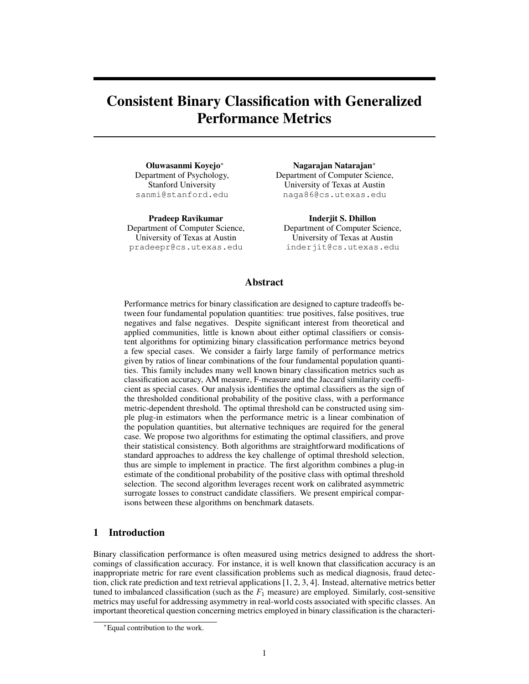# Consistent Binary Classification with Generalized Performance Metrics

Oluwasanmi Koyejo<sup>\*</sup> Department of Psychology, Stanford University sanmi@stanford.edu

Pradeep Ravikumar Department of Computer Science, University of Texas at Austin pradeepr@cs.utexas.edu

Nagarajan Natarajan⇤ Department of Computer Science, University of Texas at Austin naga86@cs.utexas.edu

Inderjit S. Dhillon Department of Computer Science, University of Texas at Austin inderjit@cs.utexas.edu

## Abstract

Performance metrics for binary classification are designed to capture tradeoffs between four fundamental population quantities: true positives, false positives, true negatives and false negatives. Despite significant interest from theoretical and applied communities, little is known about either optimal classifiers or consistent algorithms for optimizing binary classification performance metrics beyond a few special cases. We consider a fairly large family of performance metrics given by ratios of linear combinations of the four fundamental population quantities. This family includes many well known binary classification metrics such as classification accuracy, AM measure, F-measure and the Jaccard similarity coefficient as special cases. Our analysis identifies the optimal classifiers as the sign of the thresholded conditional probability of the positive class, with a performance metric-dependent threshold. The optimal threshold can be constructed using simple plug-in estimators when the performance metric is a linear combination of the population quantities, but alternative techniques are required for the general case. We propose two algorithms for estimating the optimal classifiers, and prove their statistical consistency. Both algorithms are straightforward modifications of standard approaches to address the key challenge of optimal threshold selection, thus are simple to implement in practice. The first algorithm combines a plug-in estimate of the conditional probability of the positive class with optimal threshold selection. The second algorithm leverages recent work on calibrated asymmetric surrogate losses to construct candidate classifiers. We present empirical comparisons between these algorithms on benchmark datasets.

# 1 Introduction

Binary classification performance is often measured using metrics designed to address the shortcomings of classification accuracy. For instance, it is well known that classification accuracy is an inappropriate metric for rare event classification problems such as medical diagnosis, fraud detection, click rate prediction and text retrieval applications [1, 2, 3, 4]. Instead, alternative metrics better tuned to imbalanced classification (such as the  $F_1$  measure) are employed. Similarly, cost-sensitive metrics may useful for addressing asymmetry in real-world costs associated with specific classes. An important theoretical question concerning metrics employed in binary classification is the characteri-

<sup>⇤</sup>Equal contribution to the work.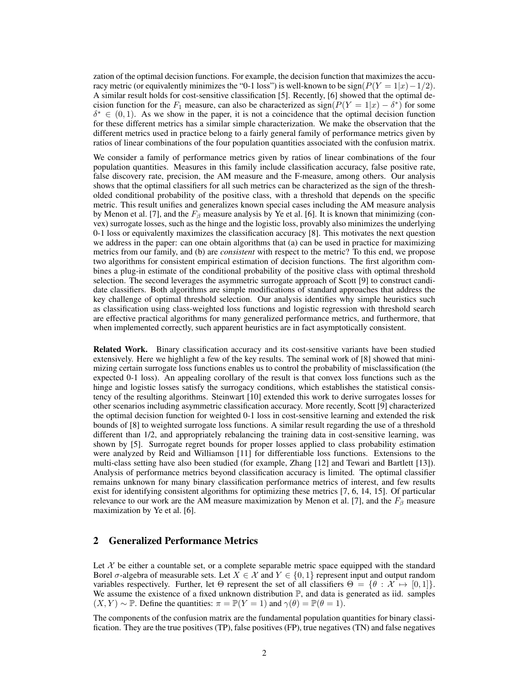zation of the optimal decision functions. For example, the decision function that maximizes the accuracy metric (or equivalently minimizes the "0-1 loss") is well-known to be  $sign(P(Y = 1|x) - 1/2)$ . A similar result holds for cost-sensitive classification [5]. Recently, [6] showed that the optimal decision function for the  $F_1$  measure, can also be characterized as  $sign(P(Y = 1|x) - \delta^*)$  for some  $\delta^* \in (0,1)$ . As we show in the paper, it is not a coincidence that the optimal decision function for these different metrics has a similar simple characterization. We make the observation that the different metrics used in practice belong to a fairly general family of performance metrics given by ratios of linear combinations of the four population quantities associated with the confusion matrix.

We consider a family of performance metrics given by ratios of linear combinations of the four population quantities. Measures in this family include classification accuracy, false positive rate, false discovery rate, precision, the AM measure and the F-measure, among others. Our analysis shows that the optimal classifiers for all such metrics can be characterized as the sign of the thresholded conditional probability of the positive class, with a threshold that depends on the specific metric. This result unifies and generalizes known special cases including the AM measure analysis by Menon et al. [7], and the  $F_\beta$  measure analysis by Ye et al. [6]. It is known that minimizing (convex) surrogate losses, such as the hinge and the logistic loss, provably also minimizes the underlying 0-1 loss or equivalently maximizes the classification accuracy [8]. This motivates the next question we address in the paper: can one obtain algorithms that (a) can be used in practice for maximizing metrics from our family, and (b) are *consistent* with respect to the metric? To this end, we propose two algorithms for consistent empirical estimation of decision functions. The first algorithm combines a plug-in estimate of the conditional probability of the positive class with optimal threshold selection. The second leverages the asymmetric surrogate approach of Scott [9] to construct candidate classifiers. Both algorithms are simple modifications of standard approaches that address the key challenge of optimal threshold selection. Our analysis identifies why simple heuristics such as classification using class-weighted loss functions and logistic regression with threshold search are effective practical algorithms for many generalized performance metrics, and furthermore, that when implemented correctly, such apparent heuristics are in fact asymptotically consistent.

Related Work. Binary classification accuracy and its cost-sensitive variants have been studied extensively. Here we highlight a few of the key results. The seminal work of [8] showed that minimizing certain surrogate loss functions enables us to control the probability of misclassification (the expected 0-1 loss). An appealing corollary of the result is that convex loss functions such as the hinge and logistic losses satisfy the surrogacy conditions, which establishes the statistical consistency of the resulting algorithms. Steinwart [10] extended this work to derive surrogates losses for other scenarios including asymmetric classification accuracy. More recently, Scott [9] characterized the optimal decision function for weighted 0-1 loss in cost-sensitive learning and extended the risk bounds of [8] to weighted surrogate loss functions. A similar result regarding the use of a threshold different than 1/2, and appropriately rebalancing the training data in cost-sensitive learning, was shown by [5]. Surrogate regret bounds for proper losses applied to class probability estimation were analyzed by Reid and Williamson [11] for differentiable loss functions. Extensions to the multi-class setting have also been studied (for example, Zhang [12] and Tewari and Bartlett [13]). Analysis of performance metrics beyond classification accuracy is limited. The optimal classifier remains unknown for many binary classification performance metrics of interest, and few results exist for identifying consistent algorithms for optimizing these metrics [7, 6, 14, 15]. Of particular relevance to our work are the AM measure maximization by Menon et al. [7], and the  $F_\beta$  measure maximization by Ye et al. [6].

# 2 Generalized Performance Metrics

Let  $X$  be either a countable set, or a complete separable metric space equipped with the standard Borel  $\sigma$ -algebra of measurable sets. Let  $X \in \mathcal{X}$  and  $Y \in \{0,1\}$  represent input and output random variables respectively. Further, let  $\Theta$  represent the set of all classifiers  $\Theta = \{\theta : \mathcal{X} \mapsto [0,1]\}.$ We assume the existence of a fixed unknown distribution  $\mathbb{P}$ , and data is generated as iid. samples  $(X, Y) \sim \mathbb{P}$ . Define the quantities:  $\pi = \mathbb{P}(Y = 1)$  and  $\gamma(\theta) = \mathbb{P}(\theta = 1)$ .

The components of the confusion matrix are the fundamental population quantities for binary classification. They are the true positives (TP), false positives (FP), true negatives (TN) and false negatives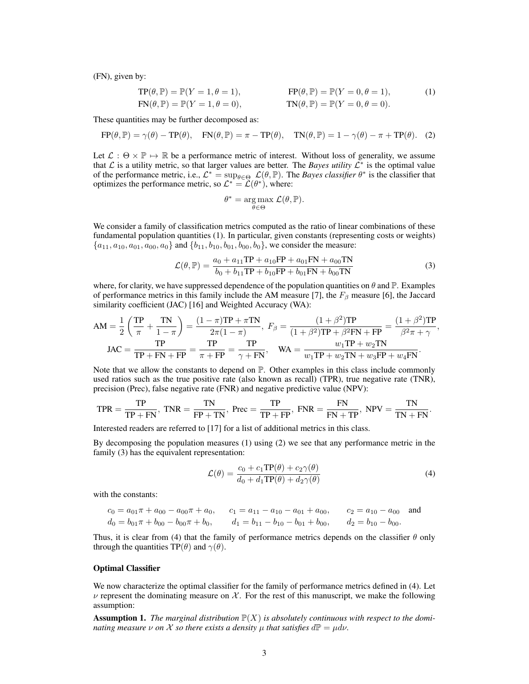(FN), given by:

$$
TP(\theta, \mathbb{P}) = \mathbb{P}(Y = 1, \theta = 1),
$$
  
\n
$$
FN(\theta, \mathbb{P}) = \mathbb{P}(Y = 1, \theta = 0),
$$
  
\n
$$
TN(\theta, \mathbb{P}) = \mathbb{P}(Y = 0, \theta = 0).
$$
  
\n
$$
(1)
$$
  
\n
$$
TN(\theta, \mathbb{P}) = \mathbb{P}(Y = 0, \theta = 0).
$$

These quantities may be further decomposed as:

$$
FP(\theta, \mathbb{P}) = \gamma(\theta) - TP(\theta), \quad FN(\theta, \mathbb{P}) = \pi - TP(\theta), \quad TN(\theta, \mathbb{P}) = 1 - \gamma(\theta) - \pi + TP(\theta). \tag{2}
$$

Let  $\mathcal{L}: \Theta \times \mathbb{P} \mapsto \mathbb{R}$  be a performance metric of interest. Without loss of generality, we assume that  $\mathcal L$  is a utility metric, so that larger values are better. The *Bayes utility*  $\mathcal L^*$  is the optimal value of the performance metric, i.e.,  $\mathcal{L}^* = \sup_{\theta \in \Theta} \mathcal{L}(\theta, \mathbb{P})$ . The *Bayes classifier*  $\theta^*$  is the classifier that optimizes the performance metric, so  $\mathcal{L}^* = \mathcal{L}(\theta^*)$ , where:

$$
\theta^* = \underset{\theta \in \Theta}{\arg \max} \mathcal{L}(\theta, \mathbb{P}).
$$

We consider a family of classification metrics computed as the ratio of linear combinations of these fundamental population quantities (1). In particular, given constants (representing costs or weights)  ${a_{11}, a_{10}, a_{01}, a_{00}, a_{0}$  and  ${b_{11}, b_{10}, b_{01}, b_{00}, b_{0}}$ , we consider the measure:

$$
\mathcal{L}(\theta, \mathbb{P}) = \frac{a_0 + a_{11}TP + a_{10}FP + a_{01}FN + a_{00}TN}{b_0 + b_{11}TP + b_{10}FP + b_{01}FN + b_{00}TN}
$$
\n(3)

where, for clarity, we have suppressed dependence of the population quantities on  $\theta$  and  $\mathbb{P}$ . Examples of performance metrics in this family include the AM measure [7], the  $F_\beta$  measure [6], the Jaccard similarity coefficient (JAC) [16] and Weighted Accuracy (WA):

$$
AM = \frac{1}{2} \left( \frac{TP}{\pi} + \frac{TN}{1 - \pi} \right) = \frac{(1 - \pi)TP + \pi TN}{2\pi(1 - \pi)}, \ F_{\beta} = \frac{(1 + \beta^{2})TP}{(1 + \beta^{2})TP + \beta^{2}FN + FP} = \frac{(1 + \beta^{2})TP}{\beta^{2}\pi + \gamma},
$$
  

$$
JAC = \frac{TP}{TP + FN + FP} = \frac{TP}{\pi + FP} = \frac{TP}{\gamma + FN}, \quad WA = \frac{w_{1}TP + w_{2}TN}{w_{1}TP + w_{2}TN + w_{3}FP + w_{4}FN}.
$$

Note that we allow the constants to depend on  $\mathbb{P}$ . Other examples in this class include commonly used ratios such as the true positive rate (also known as recall) (TPR), true negative rate (TNR), precision (Prec), false negative rate (FNR) and negative predictive value (NPV):

$$
\text{TPR} = \frac{\text{TP}}{\text{TP} + \text{FN}}, \text{ TNR} = \frac{\text{TN}}{\text{FP} + \text{TN}}, \text{ Prec} = \frac{\text{TP}}{\text{TP} + \text{FP}}, \text{ FNR} = \frac{\text{FN}}{\text{FN} + \text{TP}}, \text{ NPV} = \frac{\text{TN}}{\text{TN} + \text{FN}}.
$$

Interested readers are referred to [17] for a list of additional metrics in this class.

By decomposing the population measures (1) using (2) we see that any performance metric in the family (3) has the equivalent representation:

$$
\mathcal{L}(\theta) = \frac{c_0 + c_1 \text{TP}(\theta) + c_2 \gamma(\theta)}{d_0 + d_1 \text{TP}(\theta) + d_2 \gamma(\theta)}\tag{4}
$$

with the constants:

$$
c_0 = a_{01}\pi + a_{00} - a_{00}\pi + a_0, \qquad c_1 = a_{11} - a_{10} - a_{01} + a_{00}, \qquad c_2 = a_{10} - a_{00}
$$
 and  
\n
$$
d_0 = b_{01}\pi + b_{00} - b_{00}\pi + b_0, \qquad d_1 = b_{11} - b_{10} - b_{01} + b_{00}, \qquad d_2 = b_{10} - b_{00}.
$$

Thus, it is clear from (4) that the family of performance metrics depends on the classifier  $\theta$  only through the quantities TP( $\theta$ ) and  $\gamma(\theta)$ .

#### Optimal Classifier

We now characterize the optimal classifier for the family of performance metrics defined in (4). Let  $\nu$  represent the dominating measure on  $\chi$ . For the rest of this manuscript, we make the following assumption:

**Assumption 1.** The marginal distribution  $\mathbb{P}(X)$  is absolutely continuous with respect to the domi*nating measure*  $\nu$  *on*  $\mathcal X$  *so there exists a density*  $\mu$  *that satisfies*  $d\mathbb P = \mu d\nu$ *.*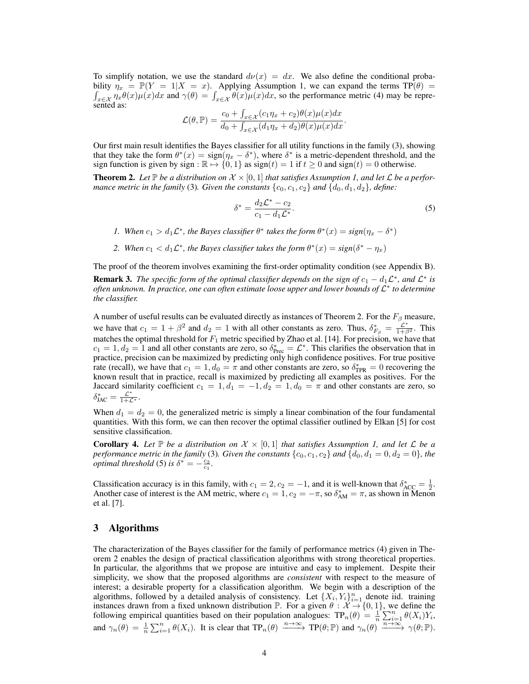To simplify notation, we use the standard  $d\nu(x) = dx$ . We also define the conditional probability bility  $\eta_x = \mathbb{P}(Y = 1 | X = x)$ . Applying Assumption 1, we can expand the terms  $\text{TP}(\theta) = \int_{-\infty}^{\infty} \eta_x \theta(x) u(x) dx$  and  $\gamma(\theta) = \int_{-\infty}^{\infty} \theta(x) u(x) dx$ , so the performance metric (4) may be repre- $\int_{x \in \mathcal{X}} \eta_x \theta(x) \mu(x) dx$  and  $\gamma(\theta) = \int_{x \in \mathcal{X}} \theta(x) \mu(x) dx$ , so the performance metric (4) may be represented as:

$$
\mathcal{L}(\theta, \mathbb{P}) = \frac{c_0 + \int_{x \in \mathcal{X}} (c_1 \eta_x + c_2) \theta(x) \mu(x) dx}{d_0 + \int_{x \in \mathcal{X}} (d_1 \eta_x + d_2) \theta(x) \mu(x) dx}.
$$

Our first main result identifies the Bayes classifier for all utility functions in the family (3), showing that they take the form  $\theta^*(x) = \text{sign}(\eta_x - \delta^*)$ , where  $\delta^*$  is a metric-dependent threshold, and the sign function is given by sign :  $\mathbb{R} \mapsto \{0, 1\}$  as sign(*t*) = 1 if  $t \ge 0$  and sign(*t*) = 0 otherwise.

**Theorem 2.** Let  $\mathbb{P}$  be a distribution on  $\mathcal{X} \times [0,1]$  that satisfies Assumption 1, and let  $\mathcal{L}$  be a perfor*mance metric in the family* (3). Given the constants  $\{c_0, c_1, c_2\}$  and  $\{d_0, d_1, d_2\}$ , define:

$$
\delta^* = \frac{d_2 \mathcal{L}^* - c_2}{c_1 - d_1 \mathcal{L}^*}.
$$
\n<sup>(5)</sup>

*1. When*  $c_1 > d_1 \mathcal{L}^*$ , the Bayes classifier  $\theta^*$  takes the form  $\theta^*(x) = sign(\eta_x - \delta^*)$ 

*2. When*  $c_1 < d_1 \mathcal{L}^*$ , the Bayes classifier takes the form  $\theta^*(x) = sign(\delta^* - \eta_x)$ 

The proof of the theorem involves examining the first-order optimality condition (see Appendix B).

**Remark 3.** *The specific form of the optimal classifier depends on the sign of*  $c_1 - d_1 \mathcal{L}^*$ *, and*  $\mathcal{L}^*$  *is often unknown. In practice, one can often estimate loose upper and lower bounds of*  $\mathcal{L}^*$  *to determine the classifier.*

A number of useful results can be evaluated directly as instances of Theorem 2. For the  $F_\beta$  measure, we have that  $c_1 = 1 + \beta^2$  and  $d_2 = 1$  with all other constants as zero. Thus,  $\delta^*_{F_\beta} = \frac{\mathcal{L}^*}{1 + \beta^2}$ . This matches the optimal threshold for *F*<sup>1</sup> metric specified by Zhao et al. [14]. For precision, we have that  $c_1 = 1, d_2 = 1$  and all other constants are zero, so  $\delta^*_{\text{rec}} = \mathcal{L}^*$ . This clarifies the observation that in practice, precision can be maximized by predicting only high confidence positives. For true positive rate (recall), we have that  $c_1 = 1, d_0 = \pi$  and other constants are zero, so  $\delta_{TPR}^* = 0$  recovering the known result that in practice, recall is maximized by predicting all examples as positives. For the Jaccard similarity coefficient  $c_1 = 1, d_1 = -1, d_2 = 1, d_0 = \pi$  and other constants are zero, so  $\delta_{\text{JAC}}^* = \frac{\mathcal{L}^*}{1+\mathcal{L}^*}.$ 

When  $d_1 = d_2 = 0$ , the generalized metric is simply a linear combination of the four fundamental quantities. With this form, we can then recover the optimal classifier outlined by Elkan [5] for cost sensitive classification.

**Corollary 4.** Let  $\mathbb{P}$  be a distribution on  $\mathcal{X} \times [0,1]$  that satisfies Assumption 1, and let  $\mathcal{L}$  be a *performance metric in the family* (3)*. Given the constants*  $\{c_0, c_1, c_2\}$  *and*  $\{d_0, d_1 = 0, d_2 = 0\}$ *, the optimal threshold* (5) *is*  $\delta^* = -\frac{c_2}{c_1}$ .

Classification accuracy is in this family, with  $c_1 = 2, c_2 = -1$ , and it is well-known that  $\delta^*_{\text{ACC}} = \frac{1}{2}$ . Another case of interest is the AM metric, where  $c_1 = 1, c_2 = -\pi$ , so  $\delta_{AM}^* = \pi$ , as shown in Menon et al. [7].

## 3 Algorithms

The characterization of the Bayes classifier for the family of performance metrics (4) given in Theorem 2 enables the design of practical classification algorithms with strong theoretical properties. In particular, the algorithms that we propose are intuitive and easy to implement. Despite their simplicity, we show that the proposed algorithms are *consistent* with respect to the measure of interest; a desirable property for a classification algorithm. We begin with a description of the algorithms, followed by a detailed analysis of consistency. Let  $\{X_i, Y_i\}_{i=1}^n$  denote iid. training instances drawn from a fixed unknown distribution  $\mathbb{P}$ . For a given  $\theta : \mathcal{X} \to \{0, 1\}$ , we define the following empirical quantities based on their population analogues:  $TP_n(\theta) = \frac{1}{n} \sum_{i=1}^n \theta(X_i) Y_i$ , and  $\gamma_n(\theta) = \frac{1}{n} \sum_{i=1}^n \theta(X_i)$ . It is clear that  $\text{TP}_n(\theta) \xrightarrow{n \to \infty} \text{TP}(\theta; \mathbb{P})$  and  $\gamma_n(\theta) \xrightarrow{n \to \infty} \gamma(\theta; \mathbb{P})$ .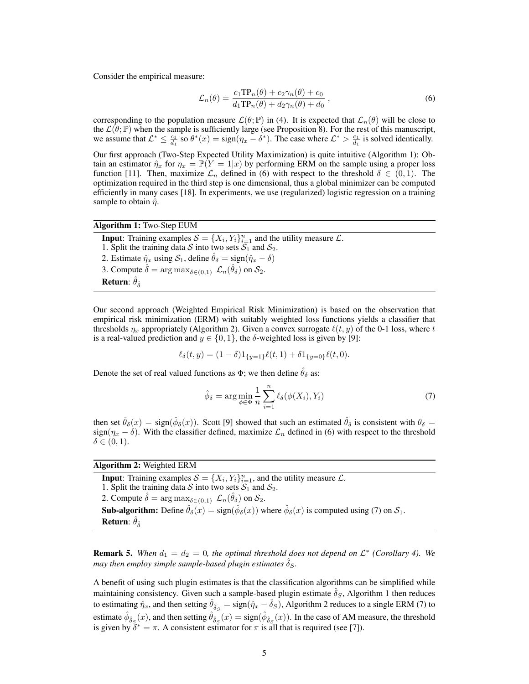Consider the empirical measure:

$$
\mathcal{L}_n(\theta) = \frac{c_1 \text{TP}_n(\theta) + c_2 \gamma_n(\theta) + c_0}{d_1 \text{TP}_n(\theta) + d_2 \gamma_n(\theta) + d_0},\tag{6}
$$

corresponding to the population measure  $\mathcal{L}(\theta; \mathbb{P})$  in (4). It is expected that  $\mathcal{L}_n(\theta)$  will be close to the  $\mathcal{L}(\theta; \mathbb{P})$  when the sample is sufficiently large (see Proposition 8). For the rest of this manuscript, we assume that  $\mathcal{L}^* \leq \frac{c_1}{d_1}$  so  $\theta^*(x) = \text{sign}(\eta_x - \delta^*)$ . The case where  $\mathcal{L}^* > \frac{c_1}{d_1}$  is solved identically. Our first approach (Two-Step Expected Utility Maximization) is quite intuitive (Algorithm 1): Obtain an estimator  $\hat{\eta}_x$  for  $\eta_x = \mathbb{P}(Y = 1|x)$  by performing ERM on the sample using a proper loss function [11]. Then, maximize  $\mathcal{L}_n$  defined in (6) with respect to the threshold  $\delta \in (0,1)$ . The optimization required in the third step is one dimensional, thus a global minimizer can be computed efficiently in many cases [18]. In experiments, we use (regularized) logistic regression on a training sample to obtain  $\hat{\eta}$ .

Algorithm 1: Two-Step EUM

**Input:** Training examples  $S = \{X_i, Y_i\}_{i=1}^n$  and the utility measure  $\mathcal{L}$ . 1. Split the training data  $S$  into two sets  $S_1$  and  $S_2$ . 2. Estimate  $\hat{\eta}_x$  using  $\mathcal{S}_1$ , define  $\hat{\theta}_\delta = \text{sign}(\hat{\eta}_x - \delta)$ 3. Compute  $\delta = \arg \max_{\delta \in (0,1)} \mathcal{L}_n(\hat{\theta}_{\delta})$  on  $\mathcal{S}_2$ . Return:  $\hat{\theta}_{\hat{\delta}}$ 

Our second approach (Weighted Empirical Risk Minimization) is based on the observation that empirical risk minimization (ERM) with suitably weighted loss functions yields a classifier that thresholds  $\eta_x$  appropriately (Algorithm 2). Given a convex surrogate  $\ell(t, y)$  of the 0-1 loss, where *t* is a real-valued prediction and  $y \in \{0, 1\}$ , the  $\delta$ -weighted loss is given by [9]:

$$
\ell_{\delta}(t,y) = (1-\delta)1_{\{y=1\}}\ell(t,1) + \delta1_{\{y=0\}}\ell(t,0).
$$

Denote the set of real valued functions as  $\Phi$ ; we then define  $\hat{\theta}_{\delta}$  as:

$$
\hat{\phi}_{\delta} = \arg \min_{\phi \in \Phi} \frac{1}{n} \sum_{i=1}^{n} \ell_{\delta}(\phi(X_i), Y_i)
$$
\n(7)

then set  $\hat{\theta}_{\delta}(x) = \text{sign}(\hat{\phi}_{\delta}(x))$ . Scott [9] showed that such an estimated  $\hat{\theta}_{\delta}$  is consistent with  $\theta_{\delta} =$  $sign(\eta_x - \delta)$ . With the classifier defined, maximize  $\mathcal{L}_n$  defined in (6) with respect to the threshold  $\delta \in (0, 1).$ 

| <b>Algorithm 2: Weighted ERM</b>                                                                                                                                        |
|-------------------------------------------------------------------------------------------------------------------------------------------------------------------------|
| <b>Input:</b> Training examples $S = \{X_i, Y_i\}_{i=1}^n$ , and the utility measure $\mathcal{L}$ .                                                                    |
| 1. Split the training data S into two sets $S_1$ and $S_2$ .                                                                                                            |
| 2. Compute $\hat{\delta} = \arg \max_{\delta \in (0,1)} \mathcal{L}_n(\hat{\theta}_{\delta})$ on $\mathcal{S}_2$ .                                                      |
| <b>Sub-algorithm:</b> Define $\hat{\theta}_{\delta}(x) = \text{sign}(\hat{\phi}_{\delta}(x))$ where $\hat{\phi}_{\delta}(x)$ is computed using (7) on $\mathcal{S}_1$ . |
| <b>Return:</b> $\hat{\theta}_{\hat{\delta}}$                                                                                                                            |

**Remark 5.** When  $d_1 = d_2 = 0$ , the optimal threshold does not depend on  $\mathcal{L}^*$  (Corollary 4). We *may then employ simple sample-based plugin estimates*  $\delta_S$ .

A benefit of using such plugin estimates is that the classification algorithms can be simplified while maintaining consistency. Given such a sample-based plugin estimate  $\delta_S$ , Algorithm 1 then reduces to estimating  $\hat{\eta}_x$ , and then setting  $\hat{\theta}_{\hat{\delta}_S} = \text{sign}(\hat{\eta}_x - \hat{\delta}_S)$ , Algorithm 2 reduces to a single ERM (7) to estimate  $\hat{\phi}_{\hat{\delta}_{S}}(x)$ , and then setting  $\hat{\theta}_{\hat{\delta}_{S}}(x) = \text{sign}(\hat{\phi}_{\hat{\delta}_{S}}(x))$ . In the case of AM measure, the threshold is given by  $\delta^* = \pi$ . A consistent estimator for  $\pi$  is all that is required (see [7]).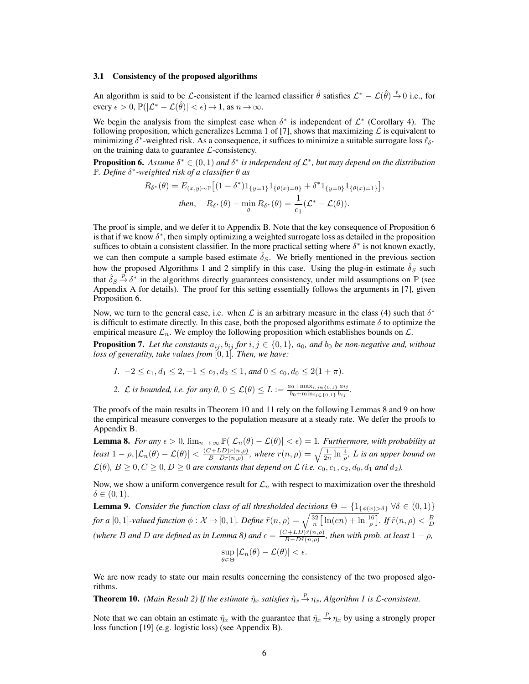#### 3.1 Consistency of the proposed algorithms

An algorithm is said to be *L*-consistent if the learned classifier  $\hat{\theta}$  satisfies  $\mathcal{L}^* - \mathcal{L}(\hat{\theta}) \stackrel{P}{\rightarrow} 0$  i.e., for every  $\epsilon > 0$ ,  $\mathbb{P}(|\mathcal{L}^* - \mathcal{L}(\hat{\theta})| < \epsilon) \rightarrow 1$ , as  $n \rightarrow \infty$ .

We begin the analysis from the simplest case when  $\delta^*$  is independent of  $\mathcal{L}^*$  (Corollary 4). The following proposition, which generalizes Lemma 1 of [7], shows that maximizing  $\mathcal L$  is equivalent to minimizing  $\delta^*$ -weighted risk. As a consequence, it suffices to minimize a suitable surrogate loss  $\ell_{\delta^*}$ on the training data to guarantee *L*-consistency.

**Proposition 6.** Assume  $\delta^* \in (0,1)$  and  $\delta^*$  is independent of  $\mathcal{L}^*$ , but may depend on the distribution  $\mathbb{P}$ *. Define*  $\delta^*$ -weighted risk of a classifier  $\theta$  as

$$
R_{\delta^*}(\theta) = E_{(x,y)\sim \mathbb{P}}\big[ (1-\delta^*)1_{\{y=1\}} 1_{\{\theta(x)=0\}} + \delta^* 1_{\{y=0\}} 1_{\{\theta(x)=1\}} \big],
$$
  
then, 
$$
R_{\delta^*}(\theta) - \min_{\theta} R_{\delta^*}(\theta) = \frac{1}{c_1} (\mathcal{L}^* - \mathcal{L}(\theta)).
$$

The proof is simple, and we defer it to Appendix B. Note that the key consequence of Proposition 6 is that if we know  $\delta^*$ , then simply optimizing a weighted surrogate loss as detailed in the proposition suffices to obtain a consistent classifier. In the more practical setting where  $\delta^*$  is not known exactly, we can then compute a sample based estimate  $\hat{\delta}_S$ . We briefly mentioned in the previous section how the proposed Algorithms 1 and 2 simplify in this case. Using the plug-in estimate  $\hat{\delta}_S$  such that  $\hat{\delta}_S \stackrel{p}{\rightarrow} \delta^*$  in the algorithms directly guarantees consistency, under mild assumptions on P (see Appendix A for details). The proof for this setting essentially follows the arguments in [7], given Proposition 6.

Now, we turn to the general case, i.e. when  $\mathcal L$  is an arbitrary measure in the class (4) such that  $\delta^*$ is difficult to estimate directly. In this case, both the proposed algorithms estimate  $\delta$  to optimize the empirical measure *Ln*. We employ the following proposition which establishes bounds on *L*.

**Proposition 7.** Let the constants  $a_{ij}$ ,  $b_{ij}$  for  $i, j \in \{0, 1\}$ ,  $a_0$ , and  $b_0$  be non-negative and, without *loss of generality, take values from* [0*,* 1]*. Then, we have:*

$$
1. \ -2 \le c_1, d_1 \le 2, -1 \le c_2, d_2 \le 1, \text{ and } 0 \le c_0, d_0 \le 2(1 + \pi).
$$

2. *L* is bounded, i.e. for any 
$$
\theta
$$
,  $0 \leq L(\theta) \leq L := \frac{a_0 + \max_{i,j \in \{0,1\}} a_{ij}}{b_0 + \min_{i,j \in \{0,1\}} b_{ij}}$ .

The proofs of the main results in Theorem 10 and 11 rely on the following Lemmas 8 and 9 on how the empirical measure converges to the population measure at a steady rate. We defer the proofs to Appendix B.

**Lemma 8.** *For any*  $\epsilon > 0$ ,  $\lim_{n \to \infty} \mathbb{P}(|\mathcal{L}_n(\theta) - \mathcal{L}(\theta)| < \epsilon) = 1$ . *Furthermore, with probability at* least  $1 - \rho, |\mathcal{L}_n(\theta) - \mathcal{L}(\theta)| < \frac{(C + LD)r(n, \rho)}{B - Dr(n, \rho)},$  where  $r(n, \rho) = \sqrt{\frac{1}{2n} \ln \frac{4}{\rho}}, L$  is an upper bound on  $\mathcal{L}(\theta)$ ,  $B \geq 0, C \geq 0, D \geq 0$  are constants that depend on  $\mathcal{L}$  (i.e.  $c_0, c_1, c_2, d_0, d_1$  and  $d_2$ ).

Now, we show a uniform convergence result for  $\mathcal{L}_n$  with respect to maximization over the threshold  $\delta \in (0, 1).$ 

**Lemma 9.** *Consider the function class of all thresholded decisions*  $\Theta = \{1_{\{\phi(x) > \delta\}} \forall \delta \in (0, 1)\}$ *for a*  $[0,1]$ -valued function  $\phi: \mathcal{X} \to [0,1]$ . Define  $\tilde{r}(n,\rho) = \sqrt{\frac{32}{n} \left[\ln(en) + \ln \frac{16}{\rho}\right]}$ . If  $\tilde{r}(n,\rho) < \frac{B}{D}$ *(where B* and *D* are defined as in Lemma 8) and  $\epsilon = \frac{(C+LD)\tilde{r}(n,\rho)}{B-D\tilde{r}(n,\rho)}$ , then with prob. at least  $1-\rho$ ,

$$
\sup_{\theta \in \Theta} |\mathcal{L}_n(\theta) - \mathcal{L}(\theta)| < \epsilon.
$$

We are now ready to state our main results concerning the consistency of the two proposed algorithms.

**Theorem 10.** *(Main Result 2) If the estimate*  $\hat{\eta}_x$  *satisfies*  $\hat{\eta}_x \stackrel{p}{\to} \eta_x$ *, Algorithm 1 is L-consistent.* 

Note that we can obtain an estimate  $\hat{\eta}_x$  with the guarantee that  $\hat{\eta}_x \stackrel{p}{\rightarrow} \eta_x$  by using a strongly proper loss function [19] (e.g. logistic loss) (see Appendix B).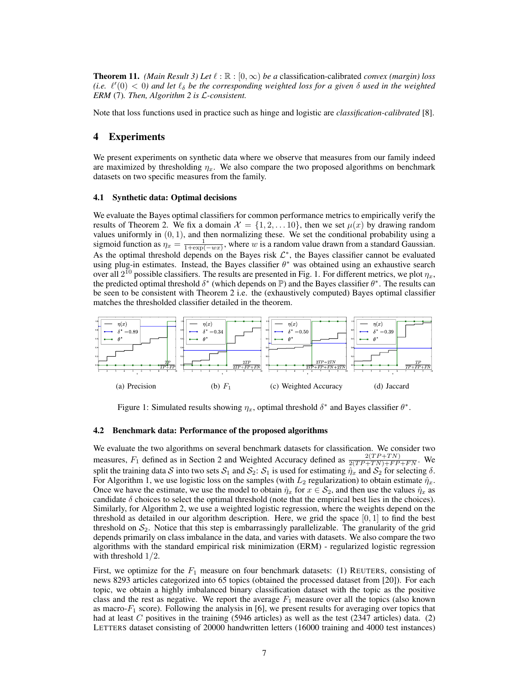**Theorem 11.** *(Main Result 3) Let*  $\ell : \mathbb{R} : [0, \infty)$  *be a* classification-calibrated *convex (margin) loss* (i.e.  $\ell'(0) < 0$ ) and let  $\ell_{\delta}$  be the corresponding weighted loss for a given  $\delta$  used in the weighted *ERM* (7)*. Then, Algorithm 2 is L-consistent.*

Note that loss functions used in practice such as hinge and logistic are *classification-calibrated* [8].

# 4 Experiments

We present experiments on synthetic data where we observe that measures from our family indeed are maximized by thresholding  $\eta_x$ . We also compare the two proposed algorithms on benchmark datasets on two specific measures from the family.

#### 4.1 Synthetic data: Optimal decisions

We evaluate the Bayes optimal classifiers for common performance metrics to empirically verify the results of Theorem 2. We fix a domain  $\mathcal{X} = \{1, 2, \ldots 10\}$ , then we set  $\mu(x)$  by drawing random values uniformly in  $(0, 1)$ , and then normalizing these. We set the conditional probability using a sigmoid function as  $\eta_x = \frac{1}{1 + \exp(-wx)}$ , where *w* is a random value drawn from a standard Gaussian. As the optimal threshold depends on the Bayes risk  $\mathcal{L}^*$ , the Bayes classifier cannot be evaluated using plug-in estimates. Instead, the Bayes classifier  $\theta^*$  was obtained using an exhaustive search over all  $2^{10}$  possible classifiers. The results are presented in Fig. 1. For different metrics, we plot  $\eta_x$ , the predicted optimal threshold  $\delta^*$  (which depends on P) and the Bayes classifier  $\theta^*$ . The results can be seen to be consistent with Theorem 2 i.e. the (exhaustively computed) Bayes optimal classifier matches the thresholded classifier detailed in the theorem.



Figure 1: Simulated results showing  $\eta_x$ , optimal threshold  $\delta^*$  and Bayes classifier  $\theta^*$ .

#### 4.2 Benchmark data: Performance of the proposed algorithms

We evaluate the two algorithms on several benchmark datasets for classification. We consider two measures,  $F_1$  defined as in Section 2 and Weighted Accuracy defined as  $\frac{2(TP+TN)}{2(TP+TN)+FP+FN}$ . We split the training data *S* into two sets  $S_1$  and  $S_2$ :  $S_1$  is used for estimating  $\hat{\eta}_x$  and  $S_2$  for selecting  $\delta$ . For Algorithm 1, we use logistic loss on the samples (with  $L_2$  regularization) to obtain estimate  $\hat{\eta}_x$ . Once we have the estimate, we use the model to obtain  $\hat{\eta}_x$  for  $x \in S_2$ , and then use the values  $\hat{\eta}_x$  as candidate  $\delta$  choices to select the optimal threshold (note that the empirical best lies in the choices). Similarly, for Algorithm 2, we use a weighted logistic regression, where the weights depend on the threshold as detailed in our algorithm description. Here, we grid the space  $[0, 1]$  to find the best threshold on  $S_2$ . Notice that this step is embarrassingly parallelizable. The granularity of the grid depends primarily on class imbalance in the data, and varies with datasets. We also compare the two algorithms with the standard empirical risk minimization (ERM) - regularized logistic regression with threshold 1*/*2.

First, we optimize for the  $F_1$  measure on four benchmark datasets: (1) REUTERS, consisting of news 8293 articles categorized into 65 topics (obtained the processed dataset from [20]). For each topic, we obtain a highly imbalanced binary classification dataset with the topic as the positive class and the rest as negative. We report the average  $F_1$  measure over all the topics (also known as macro- $F_1$  score). Following the analysis in [6], we present results for averaging over topics that had at least *C* positives in the training (5946 articles) as well as the test (2347 articles) data. (2) LETTERS dataset consisting of 20000 handwritten letters (16000 training and 4000 test instances)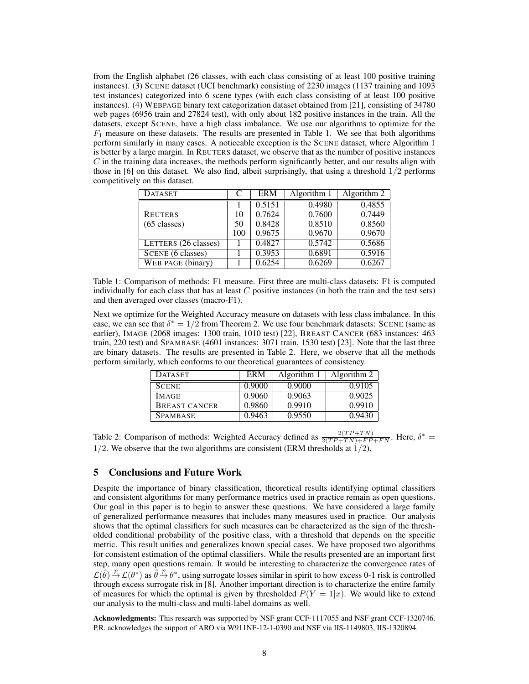from the English alphabet (26 classes, with each class consisting of at least 100 positive training instances). (3) SCENE dataset (UCI benchmark) consisting of 2230 images (1137 training and 1093 test instances) categorized into 6 scene types (with each class consisting of at least 100 positive instances). (4) WEBPAGE binary text categorization dataset obtained from [21], consisting of 34780 web pages (6956 train and 27824 test), with only about 182 positive instances in the train. All the datasets, except SCENE, have a high class imbalance. We use our algorithms to optimize for the  $F_1$  measure on these datasets. The results are presented in Table 1. We see that both algorithms perform similarly in many cases. A noticeable exception is the SCENE dataset, where Algorithm 1 is better by a large margin. In REUTERS dataset, we observe that as the number of positive instances *C* in the training data increases, the methods perform significantly better, and our results align with those in [6] on this dataset. We also find, albeit surprisingly, that using a threshold 1*/*2 performs competitively on this dataset.

| <b>DATASET</b>         | C   | <b>ERM</b> | Algorithm 1 | Algorithm $2$ |
|------------------------|-----|------------|-------------|---------------|
|                        |     | 0.5151     | 0.4980      | 0.4855        |
| <b>REUTERS</b>         | 10  | 0.7624     | 0.7600      | 0.7449        |
| $(65 \text{ classes})$ | 50  | 0.8428     | 0.8510      | 0.8560        |
|                        | 100 | 0.9675     | 0.9670      | 0.9670        |
| LETTERS (26 classes)   |     | 0.4827     | 0.5742      | 0.5686        |
| SCENE (6 classes)      |     | 0.3953     | 0.6891      | 0.5916        |
| WEB PAGE (binary)      |     | 0.6254     | 0.6269      | 0.6267        |

Table 1: Comparison of methods: F1 measure. First three are multi-class datasets: F1 is computed individually for each class that has at least *C* positive instances (in both the train and the test sets) and then averaged over classes (macro-F1).

Next we optimize for the Weighted Accuracy measure on datasets with less class imbalance. In this case, we can see that  $\delta^* = 1/2$  from Theorem 2. We use four benchmark datasets: SCENE (same as earlier), IMAGE (2068 images: 1300 train, 1010 test) [22], BREAST CANCER (683 instances: 463 train, 220 test) and SPAMBASE (4601 instances: 3071 train, 1530 test) [23]. Note that the last three are binary datasets. The results are presented in Table 2. Here, we observe that all the methods perform similarly, which conforms to our theoretical guarantees of consistency.

| <b>DATASET</b>  | ERM    | Algorithm 1 | Algorithm 2 |
|-----------------|--------|-------------|-------------|
| <b>SCENE</b>    | 0.9000 | 0.9000      | 0.9105      |
| <b>IMAGE</b>    | 0.9060 | 0.9063      | 0.9025      |
| BREAST CANCER   | 0.9860 | 0.9910      | 0.9910      |
| <b>SPAMBASE</b> | 0.9463 | 0.9550      | 0.9430      |

Table 2: Comparison of methods: Weighted Accuracy defined as  $\frac{2(TP+TN)}{2(TP+TN)+FP+FN}$ . Here,  $\delta^*$ 1*/*2. We observe that the two algorithms are consistent (ERM thresholds at 1*/*2).

### 5 Conclusions and Future Work

Despite the importance of binary classification, theoretical results identifying optimal classifiers and consistent algorithms for many performance metrics used in practice remain as open questions. Our goal in this paper is to begin to answer these questions. We have considered a large family of generalized performance measures that includes many measures used in practice. Our analysis shows that the optimal classifiers for such measures can be characterized as the sign of the thresholded conditional probability of the positive class, with a threshold that depends on the specific metric. This result unifies and generalizes known special cases. We have proposed two algorithms for consistent estimation of the optimal classifiers. While the results presented are an important first step, many open questions remain. It would be interesting to characterize the convergence rates of  $\mathcal{L}(\hat{\theta}) \stackrel{p}{\to} \mathcal{L}(\theta^*)$  as  $\hat{\theta} \stackrel{p}{\to} \theta^*$ , using surrogate losses similar in spirit to how excess 0-1 risk is controlled through excess surrogate risk in [8]. Another important direction is to characterize the entire family of measures for which the optimal is given by thresholded  $P(Y = 1|x)$ . We would like to extend our analysis to the multi-class and multi-label domains as well.

Acknowledgments: This research was supported by NSF grant CCF-1117055 and NSF grant CCF-1320746. P.R. acknowledges the support of ARO via W911NF-12-1-0390 and NSF via IIS-1149803, IIS-1320894.